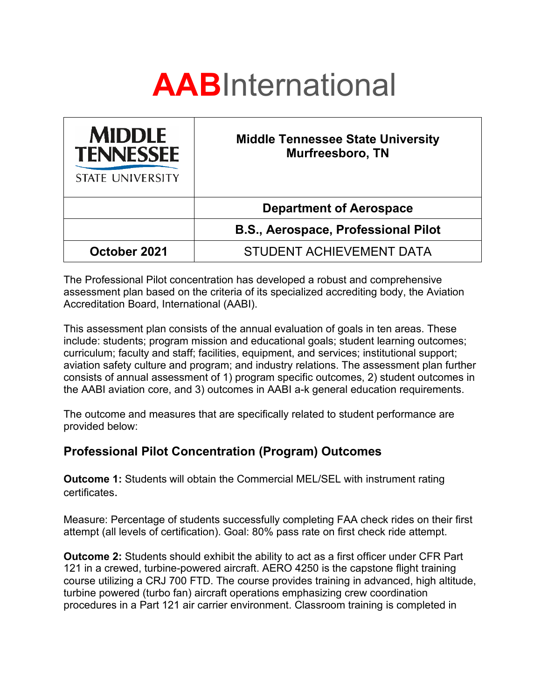

| <b>MIDDLE</b><br><b>TENNESSEE</b><br><b>STATE UNIVERSITY</b> | <b>Middle Tennessee State University</b><br><b>Murfreesboro, TN</b> |
|--------------------------------------------------------------|---------------------------------------------------------------------|
|                                                              | <b>Department of Aerospace</b>                                      |
|                                                              | <b>B.S., Aerospace, Professional Pilot</b>                          |
| October 2021                                                 | STUDENT ACHIEVEMENT DATA                                            |

The Professional Pilot concentration has developed a robust and comprehensive assessment plan based on the criteria of its specialized accrediting body, the Aviation Accreditation Board, International (AABI).

This assessment plan consists of the annual evaluation of goals in ten areas. These include: students; program mission and educational goals; student learning outcomes; curriculum; faculty and staff; facilities, equipment, and services; institutional support; aviation safety culture and program; and industry relations. The assessment plan further consists of annual assessment of 1) program specific outcomes, 2) student outcomes in the AABI aviation core, and 3) outcomes in AABI a-k general education requirements.

The outcome and measures that are specifically related to student performance are provided below:

## **Professional Pilot Concentration (Program) Outcomes**

**Outcome 1:** Students will obtain the Commercial MEL/SEL with instrument rating certificates.

Measure: Percentage of students successfully completing FAA check rides on their first attempt (all levels of certification). Goal: 80% pass rate on first check ride attempt.

**Outcome 2:** Students should exhibit the ability to act as a first officer under CFR Part 121 in a crewed, turbine-powered aircraft. AERO 4250 is the capstone flight training course utilizing a CRJ 700 FTD. The course provides training in advanced, high altitude, turbine powered (turbo fan) aircraft operations emphasizing crew coordination procedures in a Part 121 air carrier environment. Classroom training is completed in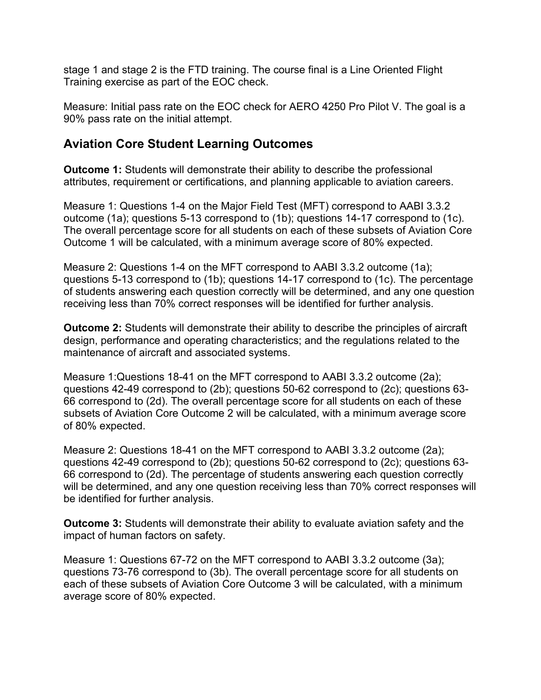stage 1 and stage 2 is the FTD training. The course final is a Line Oriented Flight Training exercise as part of the EOC check.

Measure: Initial pass rate on the EOC check for AERO 4250 Pro Pilot V. The goal is a 90% pass rate on the initial attempt.

## **Aviation Core Student Learning Outcomes**

**Outcome 1:** Students will demonstrate their ability to describe the professional attributes, requirement or certifications, and planning applicable to aviation careers.

Measure 1: Questions 1-4 on the Major Field Test (MFT) correspond to AABI 3.3.2 outcome (1a); questions 5-13 correspond to (1b); questions 14-17 correspond to (1c). The overall percentage score for all students on each of these subsets of Aviation Core Outcome 1 will be calculated, with a minimum average score of 80% expected.

Measure 2: Questions 1-4 on the MFT correspond to AABI 3.3.2 outcome (1a); questions 5-13 correspond to (1b); questions 14-17 correspond to (1c). The percentage of students answering each question correctly will be determined, and any one question receiving less than 70% correct responses will be identified for further analysis.

**Outcome 2:** Students will demonstrate their ability to describe the principles of aircraft design, performance and operating characteristics; and the regulations related to the maintenance of aircraft and associated systems.

Measure 1:Questions 18-41 on the MFT correspond to AABI 3.3.2 outcome (2a); questions 42-49 correspond to (2b); questions 50-62 correspond to (2c); questions 63- 66 correspond to (2d). The overall percentage score for all students on each of these subsets of Aviation Core Outcome 2 will be calculated, with a minimum average score of 80% expected.

Measure 2: Questions 18-41 on the MFT correspond to AABI 3.3.2 outcome (2a); questions 42-49 correspond to (2b); questions 50-62 correspond to (2c); questions 63- 66 correspond to (2d). The percentage of students answering each question correctly will be determined, and any one question receiving less than 70% correct responses will be identified for further analysis.

**Outcome 3:** Students will demonstrate their ability to evaluate aviation safety and the impact of human factors on safety.

Measure 1: Questions 67-72 on the MFT correspond to AABI 3.3.2 outcome (3a); questions 73-76 correspond to (3b). The overall percentage score for all students on each of these subsets of Aviation Core Outcome 3 will be calculated, with a minimum average score of 80% expected.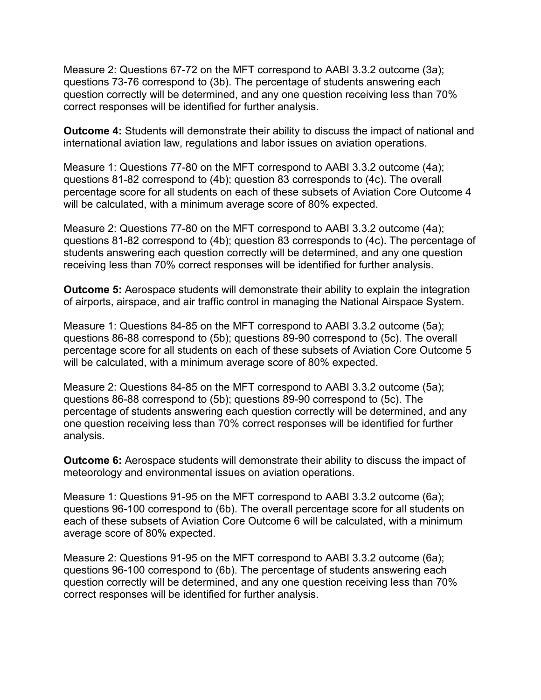Measure 2: Questions 67-72 on the MFT correspond to AABI 3.3.2 outcome (3a); questions 73-76 correspond to (3b). The percentage of students answering each question correctly will be determined, and any one question receiving less than 70% correct responses will be identified for further analysis.

**Outcome 4:** Students will demonstrate their ability to discuss the impact of national and international aviation law, regulations and labor issues on aviation operations.

Measure 1: Questions 77-80 on the MFT correspond to AABI 3.3.2 outcome (4a); questions 81-82 correspond to (4b); question 83 corresponds to (4c). The overall percentage score for all students on each of these subsets of Aviation Core Outcome 4 will be calculated, with a minimum average score of 80% expected.

Measure 2: Questions 77-80 on the MFT correspond to AABI 3.3.2 outcome (4a); questions 81-82 correspond to (4b); question 83 corresponds to (4c). The percentage of students answering each question correctly will be determined, and any one question receiving less than 70% correct responses will be identified for further analysis.

**Outcome 5:** Aerospace students will demonstrate their ability to explain the integration of airports, airspace, and air traffic control in managing the National Airspace System.

Measure 1: Questions 84-85 on the MFT correspond to AABI 3.3.2 outcome (5a); questions 86-88 correspond to (5b); questions 89-90 correspond to (5c). The overall percentage score for all students on each of these subsets of Aviation Core Outcome 5 will be calculated, with a minimum average score of 80% expected.

Measure 2: Questions 84-85 on the MFT correspond to AABI 3.3.2 outcome (5a); questions 86-88 correspond to (5b); questions 89-90 correspond to (5c). The percentage of students answering each question correctly will be determined, and any one question receiving less than 70% correct responses will be identified for further analysis.

**Outcome 6:** Aerospace students will demonstrate their ability to discuss the impact of meteorology and environmental issues on aviation operations.

Measure 1: Questions 91-95 on the MFT correspond to AABI 3.3.2 outcome (6a); questions 96-100 correspond to (6b). The overall percentage score for all students on each of these subsets of Aviation Core Outcome 6 will be calculated, with a minimum average score of 80% expected.

Measure 2: Questions 91-95 on the MFT correspond to AABI 3.3.2 outcome (6a); questions 96-100 correspond to (6b). The percentage of students answering each question correctly will be determined, and any one question receiving less than 70% correct responses will be identified for further analysis.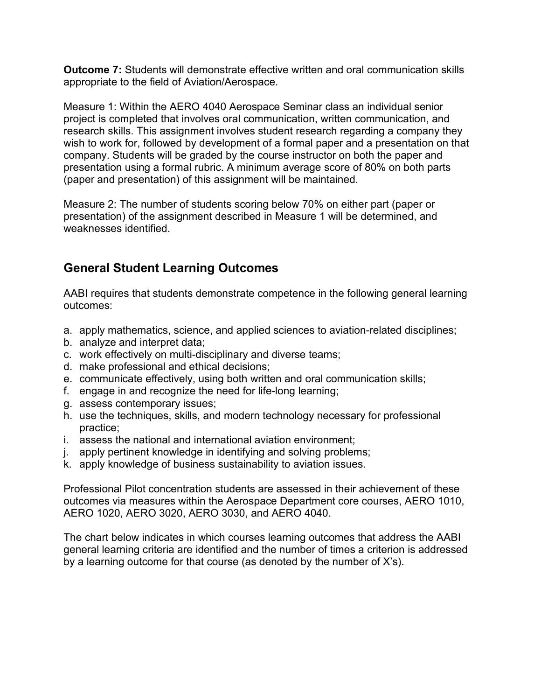**Outcome 7:** Students will demonstrate effective written and oral communication skills appropriate to the field of Aviation/Aerospace.

Measure 1: Within the AERO 4040 Aerospace Seminar class an individual senior project is completed that involves oral communication, written communication, and research skills. This assignment involves student research regarding a company they wish to work for, followed by development of a formal paper and a presentation on that company. Students will be graded by the course instructor on both the paper and presentation using a formal rubric. A minimum average score of 80% on both parts (paper and presentation) of this assignment will be maintained.

Measure 2: The number of students scoring below 70% on either part (paper or presentation) of the assignment described in Measure 1 will be determined, and weaknesses identified.

## **General Student Learning Outcomes**

AABI requires that students demonstrate competence in the following general learning outcomes:

- a. apply mathematics, science, and applied sciences to aviation-related disciplines;
- b. analyze and interpret data;
- c. work effectively on multi-disciplinary and diverse teams;
- d. make professional and ethical decisions;
- e. communicate effectively, using both written and oral communication skills;
- f. engage in and recognize the need for life-long learning;
- g. assess contemporary issues;
- h. use the techniques, skills, and modern technology necessary for professional practice;
- i. assess the national and international aviation environment;
- j. apply pertinent knowledge in identifying and solving problems;
- k. apply knowledge of business sustainability to aviation issues.

Professional Pilot concentration students are assessed in their achievement of these outcomes via measures within the Aerospace Department core courses, AERO 1010, AERO 1020, AERO 3020, AERO 3030, and AERO 4040.

The chart below indicates in which courses learning outcomes that address the AABI general learning criteria are identified and the number of times a criterion is addressed by a learning outcome for that course (as denoted by the number of X's).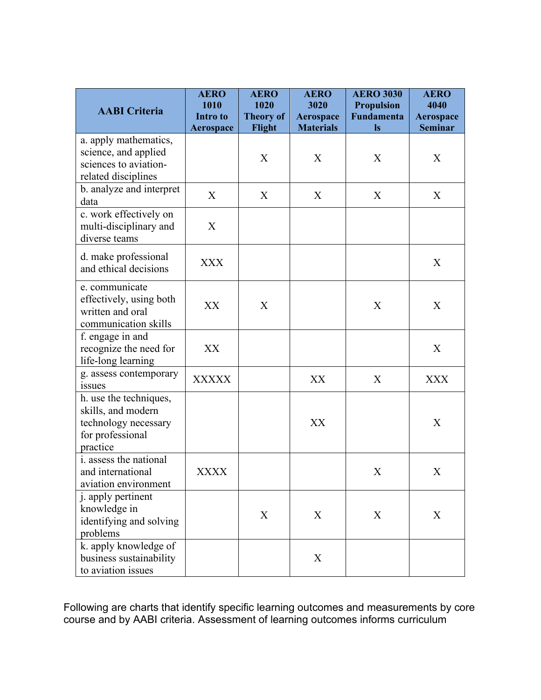| <b>AABI</b> Criteria                                                                                 | <b>AERO</b><br>1010<br>Intro to<br><b>Aerospace</b> | <b>AERO</b><br>1020<br><b>Theory of</b><br>Flight | <b>AERO</b><br>3020<br>Aerospace<br><b>Materials</b> | <b>AERO 3030</b><br><b>Propulsion</b><br><b>Fundamenta</b><br><b>Is</b> | <b>AERO</b><br>4040<br>Aerospace<br><b>Seminar</b> |
|------------------------------------------------------------------------------------------------------|-----------------------------------------------------|---------------------------------------------------|------------------------------------------------------|-------------------------------------------------------------------------|----------------------------------------------------|
| a. apply mathematics,<br>science, and applied<br>sciences to aviation-<br>related disciplines        |                                                     | X                                                 | X                                                    | X                                                                       | X                                                  |
| b. analyze and interpret<br>data                                                                     | X                                                   | X                                                 | X                                                    | X                                                                       | X                                                  |
| c. work effectively on<br>multi-disciplinary and<br>diverse teams                                    | X                                                   |                                                   |                                                      |                                                                         |                                                    |
| d. make professional<br>and ethical decisions                                                        | <b>XXX</b>                                          |                                                   |                                                      |                                                                         | X                                                  |
| e. communicate<br>effectively, using both<br>written and oral<br>communication skills                | XX                                                  | X                                                 |                                                      | X                                                                       | X                                                  |
| f. engage in and<br>recognize the need for<br>life-long learning                                     | XX                                                  |                                                   |                                                      |                                                                         | X                                                  |
| g. assess contemporary<br><i>issues</i>                                                              | <b>XXXXX</b>                                        |                                                   | XX                                                   | X                                                                       | <b>XXX</b>                                         |
| h. use the techniques,<br>skills, and modern<br>technology necessary<br>for professional<br>practice |                                                     |                                                   | XX                                                   |                                                                         | X                                                  |
| i. assess the national<br>and international<br>aviation environment                                  | <b>XXXX</b>                                         |                                                   |                                                      | X                                                                       | X                                                  |
| j. apply pertinent<br>knowledge in<br>identifying and solving<br>problems                            |                                                     | X                                                 | X                                                    | X                                                                       | X                                                  |
| k. apply knowledge of<br>business sustainability<br>to aviation issues                               |                                                     |                                                   | X                                                    |                                                                         |                                                    |

Following are charts that identify specific learning outcomes and measurements by core course and by AABI criteria. Assessment of learning outcomes informs curriculum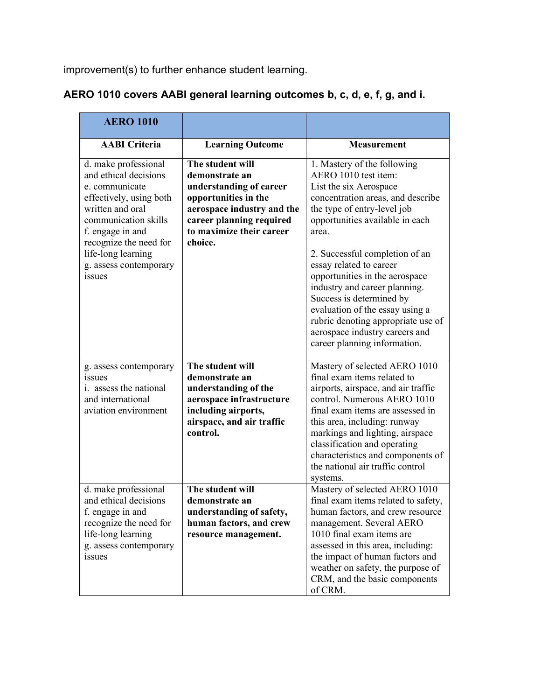improvement(s) to further enhance student learning.

| <b>AERO 1010</b>                                                                                                                                                                                                                               |                                                                                                                                                                                        |                                                                                                                                                                                                                                                                                                                                                                                                                                                                                                      |
|------------------------------------------------------------------------------------------------------------------------------------------------------------------------------------------------------------------------------------------------|----------------------------------------------------------------------------------------------------------------------------------------------------------------------------------------|------------------------------------------------------------------------------------------------------------------------------------------------------------------------------------------------------------------------------------------------------------------------------------------------------------------------------------------------------------------------------------------------------------------------------------------------------------------------------------------------------|
| <b>AABI</b> Criteria                                                                                                                                                                                                                           | <b>Learning Outcome</b>                                                                                                                                                                | <b>Measurement</b>                                                                                                                                                                                                                                                                                                                                                                                                                                                                                   |
| d. make professional<br>and ethical decisions<br>e. communicate<br>effectively, using both<br>written and oral<br>communication skills<br>f. engage in and<br>recognize the need for<br>life-long learning<br>g. assess contemporary<br>issues | The student will<br>demonstrate an<br>understanding of career<br>opportunities in the<br>aerospace industry and the<br>career planning required<br>to maximize their career<br>choice. | 1. Mastery of the following<br>AERO 1010 test item:<br>List the six Aerospace<br>concentration areas, and describe<br>the type of entry-level job<br>opportunities available in each<br>area.<br>2. Successful completion of an<br>essay related to career<br>opportunities in the aerospace<br>industry and career planning.<br>Success is determined by<br>evaluation of the essay using a<br>rubric denoting appropriate use of<br>aerospace industry careers and<br>career planning information. |
| g. assess contemporary<br><i>ssues</i><br><i>i.</i> assess the national<br>and international<br>aviation environment                                                                                                                           | The student will<br>demonstrate an<br>understanding of the<br>aerospace infrastructure<br>including airports,<br>airspace, and air traffic<br>control.                                 | Mastery of selected AERO 1010<br>final exam items related to<br>airports, airspace, and air traffic<br>control. Numerous AERO 1010<br>final exam items are assessed in<br>this area, including: runway<br>markings and lighting, airspace<br>classification and operating<br>characteristics and components of<br>the national air traffic control<br>systems.                                                                                                                                       |
| d. make professional<br>and ethical decisions<br>f. engage in and<br>recognize the need for<br>life-long learning<br>g. assess contemporary<br>issues                                                                                          | The student will<br>demonstrate an<br>understanding of safety,<br>human factors, and crew<br>resource management.                                                                      | Mastery of selected AERO 1010<br>final exam items related to safety,<br>human factors, and crew resource<br>management. Several AERO<br>1010 final exam items are<br>assessed in this area, including:<br>the impact of human factors and<br>weather on safety, the purpose of<br>CRM, and the basic components<br>of CRM.                                                                                                                                                                           |

# **AERO 1010 covers AABI general learning outcomes b, c, d, e, f, g, and i.**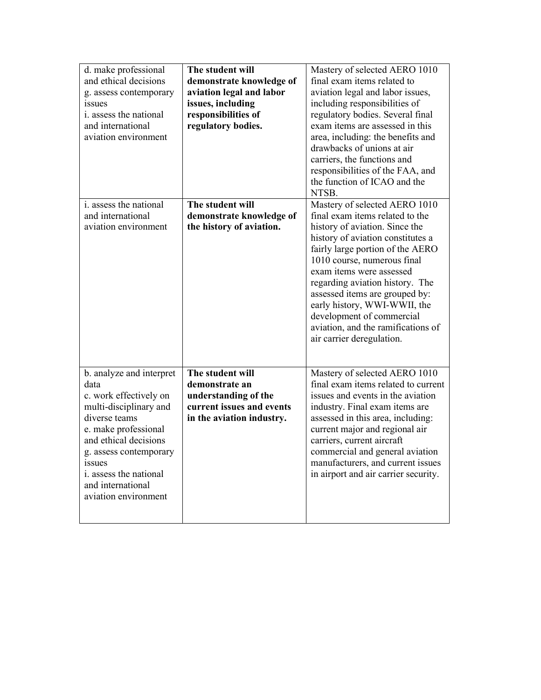| d. make professional<br>and ethical decisions<br>g. assess contemporary<br>issues<br>i. assess the national<br>and international<br>aviation environment                                                                                                          | The student will<br>demonstrate knowledge of<br>aviation legal and labor<br>issues, including<br>responsibilities of<br>regulatory bodies. | Mastery of selected AERO 1010<br>final exam items related to<br>aviation legal and labor issues,<br>including responsibilities of<br>regulatory bodies. Several final<br>exam items are assessed in this<br>area, including: the benefits and<br>drawbacks of unions at air<br>carriers, the functions and<br>responsibilities of the FAA, and<br>the function of ICAO and the<br>NTSB.                                                     |
|-------------------------------------------------------------------------------------------------------------------------------------------------------------------------------------------------------------------------------------------------------------------|--------------------------------------------------------------------------------------------------------------------------------------------|---------------------------------------------------------------------------------------------------------------------------------------------------------------------------------------------------------------------------------------------------------------------------------------------------------------------------------------------------------------------------------------------------------------------------------------------|
| i. assess the national<br>and international<br>aviation environment                                                                                                                                                                                               | The student will<br>demonstrate knowledge of<br>the history of aviation.                                                                   | Mastery of selected AERO 1010<br>final exam items related to the<br>history of aviation. Since the<br>history of aviation constitutes a<br>fairly large portion of the AERO<br>1010 course, numerous final<br>exam items were assessed<br>regarding aviation history. The<br>assessed items are grouped by:<br>early history, WWI-WWII, the<br>development of commercial<br>aviation, and the ramifications of<br>air carrier deregulation. |
| b. analyze and interpret<br>data<br>c. work effectively on<br>multi-disciplinary and<br>diverse teams<br>e. make professional<br>and ethical decisions<br>g. assess contemporary<br>issues<br>i. assess the national<br>and international<br>aviation environment | The student will<br>demonstrate an<br>understanding of the<br>current issues and events<br>in the aviation industry.                       | Mastery of selected AERO 1010<br>final exam items related to current<br>issues and events in the aviation<br>industry. Final exam items are<br>assessed in this area, including:<br>current major and regional air<br>carriers, current aircraft<br>commercial and general aviation<br>manufacturers, and current issues<br>in airport and air carrier security.                                                                            |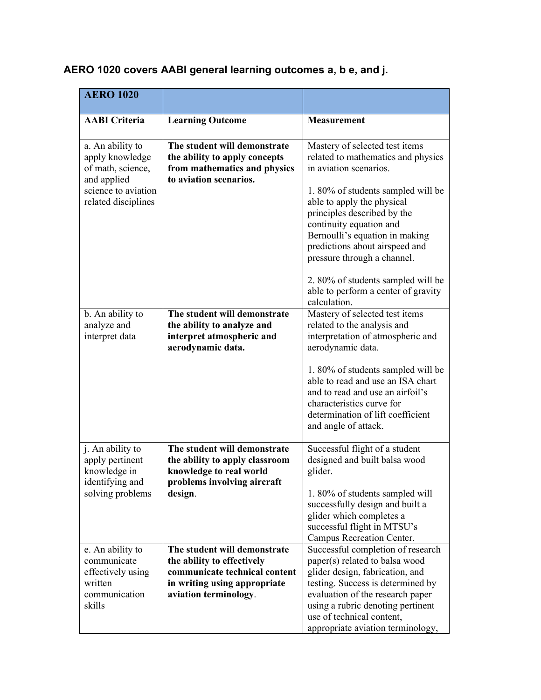| AERO 1020 covers AABI general learning outcomes a, b e, and j. |  |  |
|----------------------------------------------------------------|--|--|
|----------------------------------------------------------------|--|--|

| <b>AERO 1020</b>                                                                                                      |                                                                                                                                                      |                                                                                                                                                                                                                                                                                                                                |
|-----------------------------------------------------------------------------------------------------------------------|------------------------------------------------------------------------------------------------------------------------------------------------------|--------------------------------------------------------------------------------------------------------------------------------------------------------------------------------------------------------------------------------------------------------------------------------------------------------------------------------|
| <b>AABI</b> Criteria                                                                                                  | <b>Learning Outcome</b>                                                                                                                              | <b>Measurement</b>                                                                                                                                                                                                                                                                                                             |
|                                                                                                                       |                                                                                                                                                      |                                                                                                                                                                                                                                                                                                                                |
| a. An ability to<br>apply knowledge<br>of math, science,<br>and applied<br>science to aviation<br>related disciplines | The student will demonstrate<br>the ability to apply concepts<br>from mathematics and physics<br>to aviation scenarios.                              | Mastery of selected test items<br>related to mathematics and physics<br>in aviation scenarios.<br>1.80% of students sampled will be<br>able to apply the physical<br>principles described by the<br>continuity equation and<br>Bernoulli's equation in making<br>predictions about airspeed and<br>pressure through a channel. |
|                                                                                                                       |                                                                                                                                                      | 2. 80% of students sampled will be<br>able to perform a center of gravity<br>calculation.                                                                                                                                                                                                                                      |
| b. An ability to<br>analyze and<br>interpret data                                                                     | The student will demonstrate<br>the ability to analyze and<br>interpret atmospheric and<br>aerodynamic data.                                         | Mastery of selected test items<br>related to the analysis and<br>interpretation of atmospheric and<br>aerodynamic data.<br>1.80% of students sampled will be<br>able to read and use an ISA chart<br>and to read and use an airfoil's<br>characteristics curve for                                                             |
|                                                                                                                       |                                                                                                                                                      | determination of lift coefficient<br>and angle of attack.                                                                                                                                                                                                                                                                      |
| j. An ability to<br>apply pertinent<br>knowledge in<br>identifying and<br>solving problems                            | The student will demonstrate<br>the ability to apply classroom<br>knowledge to real world<br>problems involving aircraft<br>design.                  | Successful flight of a student<br>designed and built balsa wood<br>glider.<br>1.80% of students sampled will<br>successfully design and built a<br>glider which completes a<br>successful flight in MTSU's<br>Campus Recreation Center.                                                                                        |
| e. An ability to<br>communicate<br>effectively using<br>written<br>communication<br>skills                            | The student will demonstrate<br>the ability to effectively<br>communicate technical content<br>in writing using appropriate<br>aviation terminology. | Successful completion of research<br>paper(s) related to balsa wood<br>glider design, fabrication, and<br>testing. Success is determined by<br>evaluation of the research paper<br>using a rubric denoting pertinent<br>use of technical content,<br>appropriate aviation terminology,                                         |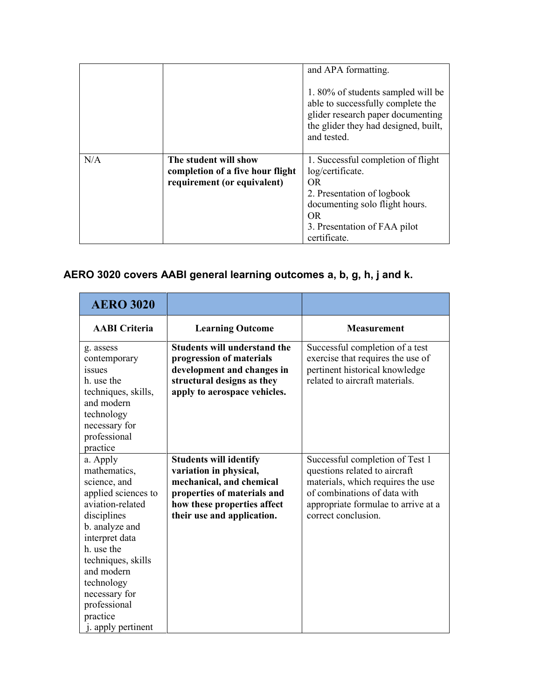|     |                                                                                          | and APA formatting.<br>1.80% of students sampled will be<br>able to successfully complete the<br>glider research paper documenting<br>the glider they had designed, built,<br>and tested. |
|-----|------------------------------------------------------------------------------------------|-------------------------------------------------------------------------------------------------------------------------------------------------------------------------------------------|
| N/A | The student will show<br>completion of a five hour flight<br>requirement (or equivalent) | 1. Successful completion of flight<br>log/certificate.<br>OR.<br>2. Presentation of logbook<br>documenting solo flight hours.<br>OR.<br>3. Presentation of FAA pilot<br>certificate.      |

# **AERO 3020 covers AABI general learning outcomes a, b, g, h, j and k.**

| <b>AERO 3020</b>                                                                                                                                                                                                                                                          |                                                                                                                                                                                 |                                                                                                                                                                                                     |
|---------------------------------------------------------------------------------------------------------------------------------------------------------------------------------------------------------------------------------------------------------------------------|---------------------------------------------------------------------------------------------------------------------------------------------------------------------------------|-----------------------------------------------------------------------------------------------------------------------------------------------------------------------------------------------------|
| <b>AABI</b> Criteria                                                                                                                                                                                                                                                      | <b>Learning Outcome</b>                                                                                                                                                         | <b>Measurement</b>                                                                                                                                                                                  |
| g. assess<br>contemporary<br>issues<br>h. use the<br>techniques, skills,<br>and modern<br>technology<br>necessary for<br>professional<br>practice                                                                                                                         | <b>Students will understand the</b><br>progression of materials<br>development and changes in<br>structural designs as they<br>apply to aerospace vehicles.                     | Successful completion of a test<br>exercise that requires the use of<br>pertinent historical knowledge<br>related to aircraft materials.                                                            |
| a. Apply<br>mathematics,<br>science, and<br>applied sciences to<br>aviation-related<br>disciplines<br>b. analyze and<br>interpret data<br>h. use the<br>techniques, skills<br>and modern<br>technology<br>necessary for<br>professional<br>practice<br>j. apply pertinent | <b>Students will identify</b><br>variation in physical,<br>mechanical, and chemical<br>properties of materials and<br>how these properties affect<br>their use and application. | Successful completion of Test 1<br>questions related to aircraft<br>materials, which requires the use<br>of combinations of data with<br>appropriate formulae to arrive at a<br>correct conclusion. |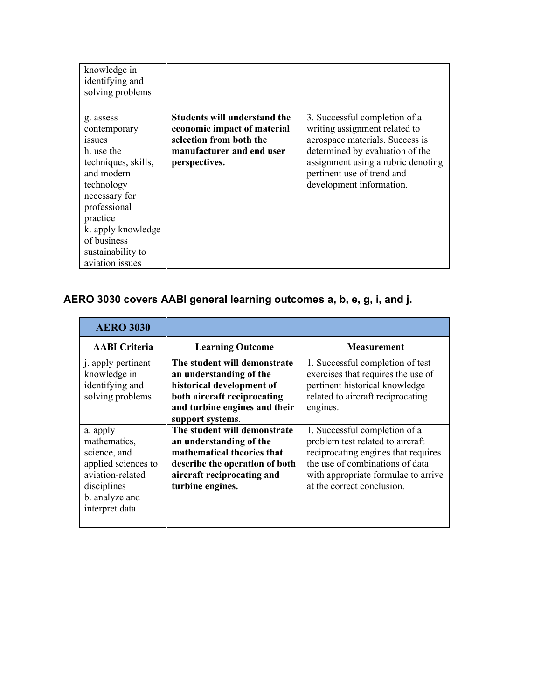| knowledge in<br>identifying and<br>solving problems                                                                                                                       |                                                                    |                                                                                              |
|---------------------------------------------------------------------------------------------------------------------------------------------------------------------------|--------------------------------------------------------------------|----------------------------------------------------------------------------------------------|
| g. assess<br>contemporary                                                                                                                                                 | <b>Students will understand the</b><br>economic impact of material | 3. Successful completion of a<br>writing assignment related to                               |
| 1SSU <sub>es</sub>                                                                                                                                                        | selection from both the                                            | aerospace materials. Success is                                                              |
| h. use the                                                                                                                                                                | manufacturer and end user                                          | determined by evaluation of the                                                              |
| techniques, skills,<br>and modern<br>technology<br>necessary for<br>professional<br>practice<br>k. apply knowledge<br>of business<br>sustainability to<br>aviation issues | perspectives.                                                      | assignment using a rubric denoting<br>pertinent use of trend and<br>development information. |

# **AERO 3030 covers AABI general learning outcomes a, b, e, g, i, and j.**

| <b>AERO 3030</b>                                                                                                                       |                                                                                                                                                                           |                                                                                                                                                                                                                  |
|----------------------------------------------------------------------------------------------------------------------------------------|---------------------------------------------------------------------------------------------------------------------------------------------------------------------------|------------------------------------------------------------------------------------------------------------------------------------------------------------------------------------------------------------------|
| <b>AABI</b> Criteria                                                                                                                   | <b>Learning Outcome</b>                                                                                                                                                   | <b>Measurement</b>                                                                                                                                                                                               |
| j. apply pertinent<br>knowledge in<br>identifying and<br>solving problems                                                              | The student will demonstrate<br>an understanding of the<br>historical development of<br>both aircraft reciprocating<br>and turbine engines and their<br>support systems.  | 1. Successful completion of test<br>exercises that requires the use of<br>pertinent historical knowledge<br>related to aircraft reciprocating<br>engines.                                                        |
| a. apply<br>mathematics,<br>science, and<br>applied sciences to<br>aviation-related<br>disciplines<br>b. analyze and<br>interpret data | The student will demonstrate<br>an understanding of the<br>mathematical theories that<br>describe the operation of both<br>aircraft reciprocating and<br>turbine engines. | 1. Successful completion of a<br>problem test related to aircraft<br>reciprocating engines that requires<br>the use of combinations of data<br>with appropriate formulae to arrive<br>at the correct conclusion. |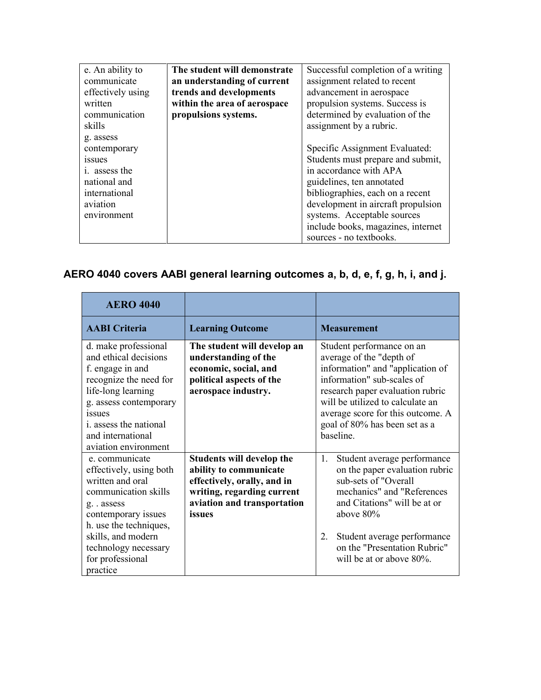| e. An ability to      | The student will demonstrate | Successful completion of a writing |
|-----------------------|------------------------------|------------------------------------|
| communicate           | an understanding of current  | assignment related to recent       |
| effectively using     | trends and developments      | advancement in aerospace           |
| written               | within the area of aerospace | propulsion systems. Success is     |
| communication         | propulsions systems.         | determined by evaluation of the    |
| skills                |                              | assignment by a rubric.            |
| g. assess             |                              |                                    |
| contemporary          |                              | Specific Assignment Evaluated:     |
| <i>ssues</i>          |                              | Students must prepare and submit,  |
| <i>i</i> . assess the |                              | in accordance with APA             |
| national and          |                              | guidelines, ten annotated          |
| international         |                              | bibliographies, each on a recent   |
| aviation              |                              | development in aircraft propulsion |
| environment           |                              | systems. Acceptable sources        |
|                       |                              | include books, magazines, internet |
|                       |                              | sources - no textbooks.            |

# **AERO 4040 covers AABI general learning outcomes a, b, d, e, f, g, h, i, and j.**

| <b>AERO 4040</b>                                                                                                                                                                                                                            |                                                                                                                                                           |                                                                                                                                                                                                                                                                                    |
|---------------------------------------------------------------------------------------------------------------------------------------------------------------------------------------------------------------------------------------------|-----------------------------------------------------------------------------------------------------------------------------------------------------------|------------------------------------------------------------------------------------------------------------------------------------------------------------------------------------------------------------------------------------------------------------------------------------|
| <b>AABI</b> Criteria                                                                                                                                                                                                                        | <b>Learning Outcome</b>                                                                                                                                   | <b>Measurement</b>                                                                                                                                                                                                                                                                 |
| d. make professional<br>and ethical decisions<br>f. engage in and<br>recognize the need for<br>life-long learning<br>g. assess contemporary<br><i>issues</i><br><i>i</i> . assess the national<br>and international<br>aviation environment | The student will develop an<br>understanding of the<br>economic, social, and<br>political aspects of the<br>aerospace industry.                           | Student performance on an<br>average of the "depth of<br>information" and "application of<br>information" sub-scales of<br>research paper evaluation rubric<br>will be utilized to calculate an<br>average score for this outcome. A<br>goal of 80% has been set as a<br>baseline. |
| e. communicate<br>effectively, using both<br>written and oral<br>communication skills<br>g. assess<br>contemporary issues<br>h. use the techniques,<br>skills, and modern<br>technology necessary<br>for professional<br>practice           | Students will develop the<br>ability to communicate<br>effectively, orally, and in<br>writing, regarding current<br>aviation and transportation<br>issues | Student average performance<br>1.<br>on the paper evaluation rubric<br>sub-sets of "Overall<br>mechanics" and "References<br>and Citations" will be at or<br>above $80\%$<br>Student average performance<br>2.<br>on the "Presentation Rubric"<br>will be at or above $80\%$ .     |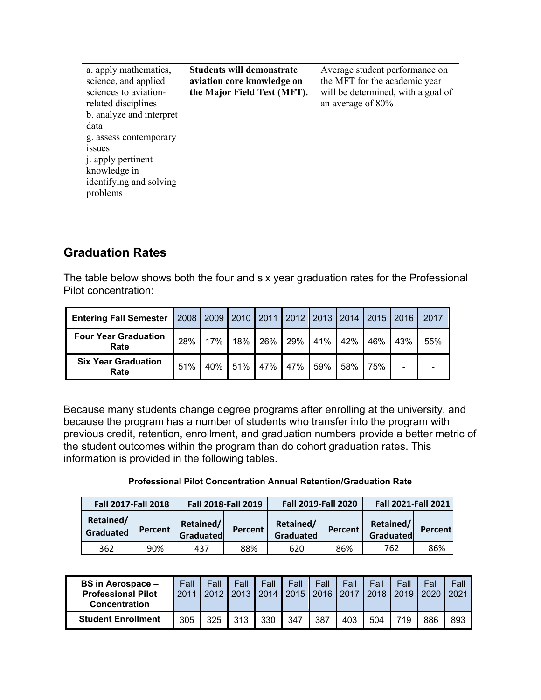| a. apply mathematics,<br>science, and applied<br>sciences to aviation-<br>related disciplines<br>b. analyze and interpret<br>data<br>g. assess contemporary<br><i>ssues</i><br>j. apply pertinent<br>knowledge in<br>identifying and solving<br>problems | <b>Students will demonstrate</b><br>aviation core knowledge on<br>the Major Field Test (MFT). | Average student performance on<br>the MFT for the academic year<br>will be determined, with a goal of<br>an average of $80\%$ |
|----------------------------------------------------------------------------------------------------------------------------------------------------------------------------------------------------------------------------------------------------------|-----------------------------------------------------------------------------------------------|-------------------------------------------------------------------------------------------------------------------------------|
|                                                                                                                                                                                                                                                          |                                                                                               |                                                                                                                               |

## **Graduation Rates**

The table below shows both the four and six year graduation rates for the Professional Pilot concentration:

| <b>Entering Fall Semester</b>       |     | 2008   2009   2010   2011   2012   2013   2014   2015   2016 |     |     |     |     |     |     |                          | 2017 |
|-------------------------------------|-----|--------------------------------------------------------------|-----|-----|-----|-----|-----|-----|--------------------------|------|
| <b>Four Year Graduation</b><br>Rate | 28% | 17%                                                          | 18% | 26% | 29% | 41% | 42% | 46% | 43%                      | 55%  |
| <b>Six Year Graduation</b><br>Rate  | 51% | 40%                                                          | 51% | 47% | 47% | 59% | 58% | 75% | $\overline{\phantom{0}}$ |      |

Because many students change degree programs after enrolling at the university, and because the program has a number of students who transfer into the program with previous credit, retention, enrollment, and graduation numbers provide a better metric of the student outcomes within the program than do cohort graduation rates. This information is provided in the following tables.

#### **Professional Pilot Concentration Annual Retention/Graduation Rate**

|                        | <b>Fall 2017-Fall 2018</b> |                        | <b>Fall 2018-Fall 2019</b> |                        | <b>Fall 2019-Fall 2020</b> | <b>Fall 2021-Fall 2021</b> |         |  |
|------------------------|----------------------------|------------------------|----------------------------|------------------------|----------------------------|----------------------------|---------|--|
| Retained/<br>Graduated | Percent                    | Retained/<br>Graduated | Percent                    | Retained/<br>Graduated | Percent                    | Retained/<br>Graduated     | Percent |  |
| 362                    | 90%                        | 437                    | 88%                        | 620                    | 86%                        | 762                        | 86%     |  |

| <b>BS in Aerospace –</b><br><b>Professional Pilot</b><br>Concentration | Fall<br>2011 | Fall<br>2012 | Fall<br>2013 | Fall<br>2014 | Fall<br>2015 | Fall<br>2016 | Fall<br>2017 | Fall<br>2018 | Fall<br>2019 | Fall<br>2020 | Fall<br>2021 |
|------------------------------------------------------------------------|--------------|--------------|--------------|--------------|--------------|--------------|--------------|--------------|--------------|--------------|--------------|
| <b>Student Enrollment</b>                                              | 305          | 325          | 313          | 330          | 347          | 387          | 403          | 504          | 719          | 886          | 893          |